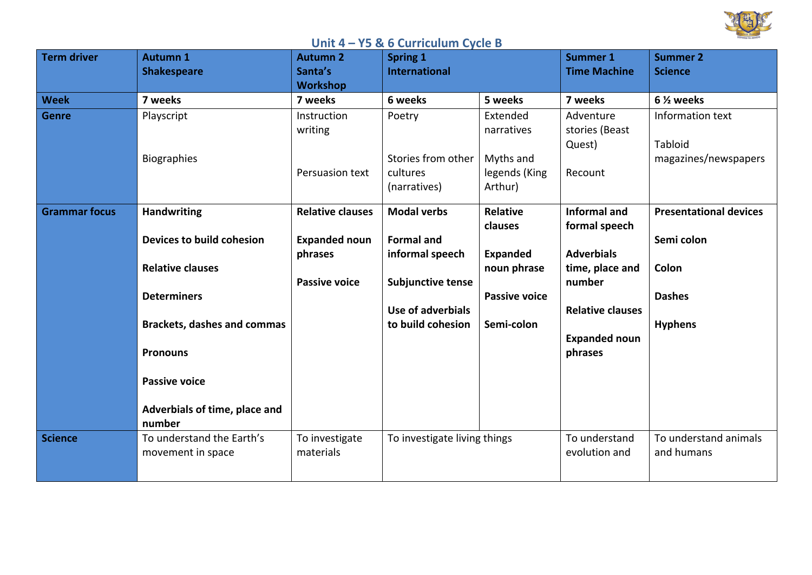

## **Unit 4 - Y5 & 6 Curriculum Cycle B**

| <b>Term driver</b>   | <b>Autumn 1</b>                    | <b>Autumn 2</b>         | <b>Spring 1</b>              |                      | <b>Summer 1</b>         | <b>Summer 2</b>               |
|----------------------|------------------------------------|-------------------------|------------------------------|----------------------|-------------------------|-------------------------------|
|                      | <b>Shakespeare</b>                 | Santa's                 | <b>International</b>         |                      | <b>Time Machine</b>     | <b>Science</b>                |
|                      |                                    | <b>Workshop</b>         |                              |                      |                         |                               |
| <b>Week</b>          | 7 weeks                            | 7 weeks                 | 6 weeks                      | 5 weeks              | 7 weeks                 | 6 <sup>1/2</sup> weeks        |
| <b>Genre</b>         | Playscript                         | Instruction             | Poetry                       | Extended             | Adventure               | Information text              |
|                      |                                    | writing                 |                              | narratives           | stories (Beast          |                               |
|                      |                                    |                         |                              |                      | Quest)                  | Tabloid                       |
|                      | <b>Biographies</b>                 |                         | Stories from other           | Myths and            |                         | magazines/newspapers          |
|                      |                                    | Persuasion text         | cultures                     | legends (King        | Recount                 |                               |
|                      |                                    |                         | (narratives)                 | Arthur)              |                         |                               |
| <b>Grammar focus</b> | <b>Handwriting</b>                 | <b>Relative clauses</b> | <b>Modal verbs</b>           | <b>Relative</b>      | <b>Informal and</b>     | <b>Presentational devices</b> |
|                      |                                    |                         |                              | clauses              | formal speech           |                               |
|                      | Devices to build cohesion          | <b>Expanded noun</b>    | <b>Formal and</b>            |                      |                         | Semi colon                    |
|                      |                                    | phrases                 | informal speech              | <b>Expanded</b>      | <b>Adverbials</b>       |                               |
|                      | <b>Relative clauses</b>            |                         |                              | noun phrase          | time, place and         | Colon                         |
|                      |                                    | <b>Passive voice</b>    | <b>Subjunctive tense</b>     |                      | number                  |                               |
|                      | <b>Determiners</b>                 |                         |                              | <b>Passive voice</b> |                         | <b>Dashes</b>                 |
|                      |                                    |                         | Use of adverbials            |                      | <b>Relative clauses</b> |                               |
|                      | <b>Brackets, dashes and commas</b> |                         | to build cohesion            | Semi-colon           |                         | <b>Hyphens</b>                |
|                      |                                    |                         |                              |                      | <b>Expanded noun</b>    |                               |
|                      | <b>Pronouns</b>                    |                         |                              |                      | phrases                 |                               |
|                      | <b>Passive voice</b>               |                         |                              |                      |                         |                               |
|                      |                                    |                         |                              |                      |                         |                               |
|                      | Adverbials of time, place and      |                         |                              |                      |                         |                               |
|                      | number                             |                         |                              |                      |                         |                               |
| <b>Science</b>       | To understand the Earth's          | To investigate          | To investigate living things |                      | To understand           | To understand animals         |
|                      | movement in space                  | materials               |                              |                      | evolution and           | and humans                    |
|                      |                                    |                         |                              |                      |                         |                               |
|                      |                                    |                         |                              |                      |                         |                               |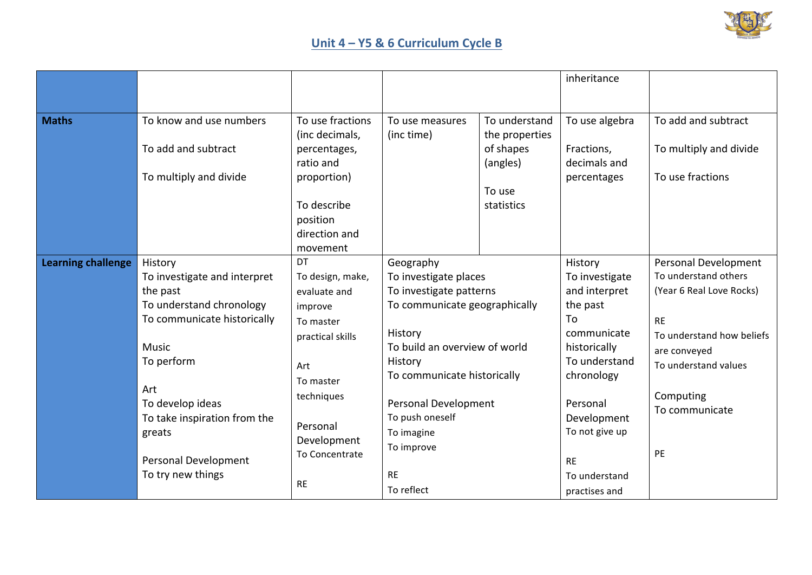

## **Unit 4 - Y5 & 6 Curriculum Cycle B**

|                           |                                                                                                                                                                                                                                                                |                                                                                                                                                                                |                                                                                                                                                                                                                                                                                               |                                                                                  | inheritance                                                                                                                                                                                                            |                                                                                                                                                                                                 |
|---------------------------|----------------------------------------------------------------------------------------------------------------------------------------------------------------------------------------------------------------------------------------------------------------|--------------------------------------------------------------------------------------------------------------------------------------------------------------------------------|-----------------------------------------------------------------------------------------------------------------------------------------------------------------------------------------------------------------------------------------------------------------------------------------------|----------------------------------------------------------------------------------|------------------------------------------------------------------------------------------------------------------------------------------------------------------------------------------------------------------------|-------------------------------------------------------------------------------------------------------------------------------------------------------------------------------------------------|
|                           |                                                                                                                                                                                                                                                                |                                                                                                                                                                                |                                                                                                                                                                                                                                                                                               |                                                                                  |                                                                                                                                                                                                                        |                                                                                                                                                                                                 |
| <b>Maths</b>              | To know and use numbers<br>To add and subtract<br>To multiply and divide                                                                                                                                                                                       | To use fractions<br>(inc decimals,<br>percentages,<br>ratio and<br>proportion)<br>To describe<br>position<br>direction and<br>movement                                         | To use measures<br>(inc time)                                                                                                                                                                                                                                                                 | To understand<br>the properties<br>of shapes<br>(angles)<br>To use<br>statistics | To use algebra<br>Fractions,<br>decimals and<br>percentages                                                                                                                                                            | To add and subtract<br>To multiply and divide<br>To use fractions                                                                                                                               |
| <b>Learning challenge</b> | History<br>To investigate and interpret<br>the past<br>To understand chronology<br>To communicate historically<br><b>Music</b><br>To perform<br>Art<br>To develop ideas<br>To take inspiration from the<br>greats<br>Personal Development<br>To try new things | DT<br>To design, make,<br>evaluate and<br>improve<br>To master<br>practical skills<br>Art<br>To master<br>techniques<br>Personal<br>Development<br>To Concentrate<br><b>RE</b> | Geography<br>To investigate places<br>To investigate patterns<br>To communicate geographically<br>History<br>To build an overview of world<br>History<br>To communicate historically<br><b>Personal Development</b><br>To push oneself<br>To imagine<br>To improve<br><b>RE</b><br>To reflect |                                                                                  | History<br>To investigate<br>and interpret<br>the past<br>To<br>communicate<br>historically<br>To understand<br>chronology<br>Personal<br>Development<br>To not give up<br><b>RE</b><br>To understand<br>practises and | Personal Development<br>To understand others<br>(Year 6 Real Love Rocks)<br><b>RE</b><br>To understand how beliefs<br>are conveyed<br>To understand values<br>Computing<br>To communicate<br>PE |